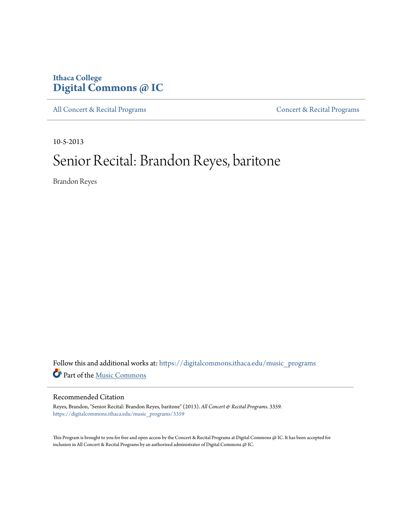# **Ithaca College [Digital Commons @ IC](https://digitalcommons.ithaca.edu?utm_source=digitalcommons.ithaca.edu%2Fmusic_programs%2F3359&utm_medium=PDF&utm_campaign=PDFCoverPages)**

[All Concert & Recital Programs](https://digitalcommons.ithaca.edu/music_programs?utm_source=digitalcommons.ithaca.edu%2Fmusic_programs%2F3359&utm_medium=PDF&utm_campaign=PDFCoverPages) **[Concert & Recital Programs](https://digitalcommons.ithaca.edu/som_programs?utm_source=digitalcommons.ithaca.edu%2Fmusic_programs%2F3359&utm_medium=PDF&utm_campaign=PDFCoverPages)** 

10-5-2013

# Senior Recital: Brandon Reyes, baritone

Brandon Reyes

Follow this and additional works at: [https://digitalcommons.ithaca.edu/music\\_programs](https://digitalcommons.ithaca.edu/music_programs?utm_source=digitalcommons.ithaca.edu%2Fmusic_programs%2F3359&utm_medium=PDF&utm_campaign=PDFCoverPages) Part of the [Music Commons](http://network.bepress.com/hgg/discipline/518?utm_source=digitalcommons.ithaca.edu%2Fmusic_programs%2F3359&utm_medium=PDF&utm_campaign=PDFCoverPages)

## Recommended Citation

Reyes, Brandon, "Senior Recital: Brandon Reyes, baritone" (2013). *All Concert & Recital Programs*. 3359. [https://digitalcommons.ithaca.edu/music\\_programs/3359](https://digitalcommons.ithaca.edu/music_programs/3359?utm_source=digitalcommons.ithaca.edu%2Fmusic_programs%2F3359&utm_medium=PDF&utm_campaign=PDFCoverPages)

This Program is brought to you for free and open access by the Concert & Recital Programs at Digital Commons @ IC. It has been accepted for inclusion in All Concert & Recital Programs by an authorized administrator of Digital Commons @ IC.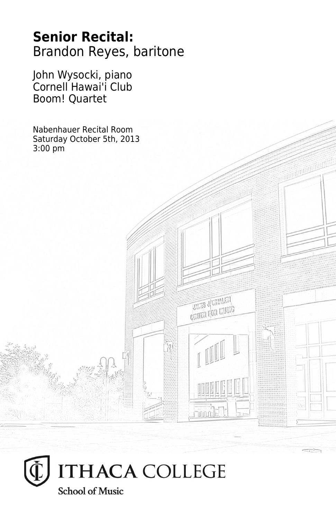# **Senior Recital:** Brandon Reyes, baritone

**THES JUVALATA CRITER FOR LIVEIG** 

John Wysocki, piano Cornell Hawai'i Club Boom! Quartet

Nabenhauer Recital Room Saturday October 5th, 2013 3:00 pm

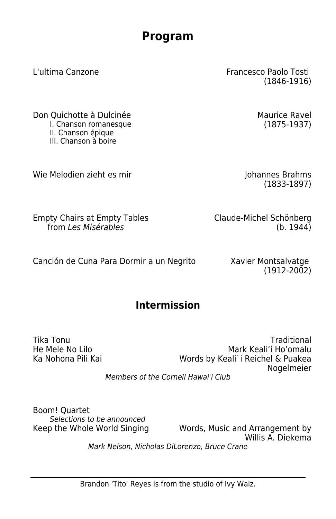# **Program**

L'ultima Canzone Francesco Paolo Tosti

Don Quichotte à Dulcinée **Maurice Ravel** Maurice Ravel I. Chanson romanesque (1875-1937) II. Chanson épique III. Chanson à boire

Wie Melodien zieht es mir Voltagen auch auch auch Johannes Brahms

Empty Chairs at Empty Tables from Les Misérables

Claude-Michel Schönberg (b. 1944)

Canción de Cuna Para Dormir a un Negrito Xavier Montsalvatge

(1912-2002)

**Intermission**

Tika Tonu Traditional Mark Keali'i Ho'omalu Ka Nohona Pili Kai Words by Keali`i Reichel & Puakea Nogelmeier

Members of the Cornell Hawai'i Club

Boom! Quartet Selections to be announced

Keep the Whole World Singing Words, Music and Arrangement by Willis A. Diekema Mark Nelson, Nicholas DiLorenzo, Bruce Crane

(1846-1916)

(1833-1897)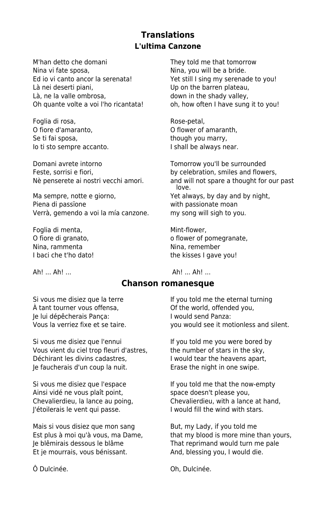# **Translations L'ultima Canzone**

M'han detto che domani They told me that tomorrow Nina vi fate sposa, Nina, you will be a bride. Ed io vi canto ancor la serenata! Yet still I sing my serenade to you! Là nei deserti piani, and the Up on the barren plateau, Là, ne la valle ombrosa, https://www.in the shady valley, Oh quante volte a voi l'ho ricantata! oh, how often I have sung it to you!

Foglia di rosa, established all'estatuburgo di Rose-petal, O fiore d'amaranto, O flower of amaranth, Se ti fai sposa, se though you marry, Io ti sto sempre accanto. I shall be always near.

Domani avrete intorno Tomorrow you'll be surrounded Feste, sorrisi e fiori, https://www.by celebration, smiles and flowers,

Ma sempre, notte e giorno, and the Yet always, by day and by night, Piena di passione with passionate moan Verrà, gemendo a voi la mía canzone. my song will sigh to you.

Foglia di menta, etternativa di menta, etternativa di menta, etternativa di mentale di mentale di mentale di m Nina, rammenta<br>
I baci che t'ho dato!<br>
I baci che t'ho dato!<br>
I baci che t'ho dato!

Nè penserete ai nostri vecchi amori. and will not spare a thought for our past love.

O fiore di granato, and the control of flower of pomegranate, the kisses I gave you!

Ah! ... Ah! ... **Ah! ... Ah! ... Ah! ...** 

#### **Chanson romanesque**

Si vous me disiez que la terre If you told me the eternal turning À tant tourner vous offensa, Of the world, offended you, Je lui dépêcherais Pança: I would send Panza:

Si vous me disiez que l'ennui If you told me you were bored by Vous vient du ciel trop fleuri d'astres, the number of stars in the sky, Déchirant les divins cadastres, I would tear the heavens apart, Je faucherais d'un coup la nuit. Erase the night in one swipe.

Ainsi vidé ne vous plaît point, space doesn't please you, J'étoilerais le vent qui passe. I would fill the wind with stars.

Mais si vous disiez que mon sang But, my Lady, if you told me Je blêmirais dessous le blâme That reprimand would turn me pale Et je mourrais, vous bénissant. And, blessing you, I would die.

Vous la verriez fixe et se taire. you would see it motionless and silent.

Si vous me disiez que l'espace If you told me that the now-empty Chevalierdieu, la lance au poing, Chevalierdieu, with a lance at hand,

Est plus à moi qu'à vous, ma Dame, that my blood is more mine than yours,

Ô Dulcinée. Oh, Dulcinée.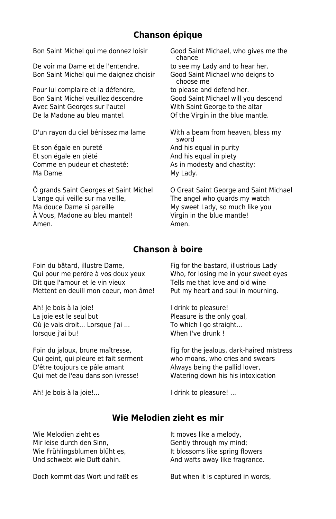# **Chanson épique**

Bon Saint Michel qui me donnez loisir Good Saint Michael, who gives me the

De voir ma Dame et de l'entendre, to see my Lady and to hear her. Bon Saint Michel qui me daignez choisir Good Saint Michael who deigns to

Pour lui complaire et la défendre, to please and defend her. Avec Saint Georges sur l'autel With Saint George to the altar De la Madone au bleu mantel. **On the Virgin in the blue mantle.** 

Et son égale en pureté And his equal in purity Et son égale en piété And his equal in piety Comme en pudeur et chasteté: As in modesty and chastity: Ma Dame. **Market Contract Contract Contract Contract Contract Contract Contract Contract Contract Contract Contract Contract Contract Contract Contract Contract Contract Contract Contract Contract Contract Contract Contrac** 

Ô grands Saint Georges et Saint Michel O Great Saint George and Saint Michael L'ange qui veille sur ma veille. The angel who quards my watch Ma douce Dame si pareille My sweet Lady, so much like you À Vous, Madone au bleu mantel! Virgin in the blue mantle! Amen. Amen.

 chance choose me Bon Saint Michel veuillez descendre Good Saint Michael will you descend

D'un rayon du ciel bénissez ma lame With a beam from heaven, bless my sword

## **Chanson à boire**

Foin du bâtard, illustre Dame, Fig for the bastard, illustrious Lady Qui pour me perdre à vos doux yeux Who, for losing me in your sweet eyes Dit que l'amour et le vin vieux Tells me that love and old wine Mettent en deuill mon coeur, mon âme! Put my heart and soul in mourning.

Ah! Je bois à la joie! I drink to pleasure! La joie est le seul but entitled but all the Pleasure is the only goal, Où je vais droit... Lorsque j'ai ... To which I go straight... lorsque j'ai bu! When I've drunk !

Qui geint, qui pleure et fait serment who moans, who cries and swears D'être toujours ce pâle amant Always being the pallid lover, Qui met de l'eau dans son ivresse! Watering down his his intoxication

Ah! Je bois à la joie!... 
and a latter that is a latter of the pleasure! ...

Foin du jaloux, brune maîtresse, Fig for the jealous, dark-haired mistress

#### **Wie Melodien zieht es mir**

| Wie Melodien zieht es         | It moves like a melody,         |
|-------------------------------|---------------------------------|
| Mir leise durch den Sinn.     | Gently through my mind;         |
| Wie Frühlingsblumen blüht es, | It blossoms like spring flowers |
| Und schwebt wie Duft dahin.   | And wafts away like fragrance.  |
|                               |                                 |

Doch kommt das Wort und faßt es But when it is captured in words,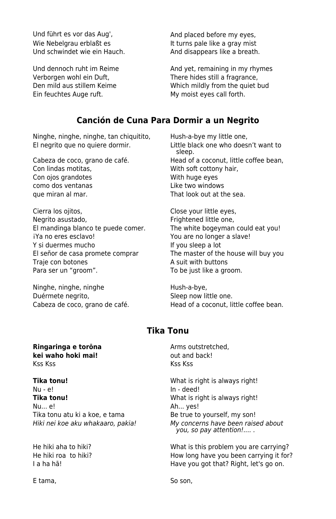Und führt es vor das Aug', and placed before my eyes, Wie Nebelgrau erblaßt es It turns pale like a gray mist Und schwindet wie ein Hauch. And disappears like a breath.

Ein feuchtes Auge ruft. My moist eyes call forth.

Und dennoch ruht im Reime And yet, remaining in my rhymes Verborgen wohl ein Duft, There hides still a fragrance, Den mild aus stillem Keime Which mildly from the quiet bud

### **Canción de Cuna Para Dormir a un Negrito**

Ninghe, ninghe, ninghe, tan chiquitito, Hush-a-bye my little one, El negrito que no quiere dormir. Little black one who doesn't want to

Con lindas motitas, With soft cottony hair, Con ojos grandotes With huge eyes como dos ventanas<br>
que miran al mar.<br>
That look out at the same state of the same state of the same state of the same state of the same state of th

Cierra los ojitos, Cierra los ojitos, Cierra los otitos, Cierra los extensos con Cose your little eyes, Negrito asustado, entre a controller entre Frightened little one, El mandinga blanco te puede comer. The white bogeyman could eat you! i<sup>Y</sup>a no eres esclavo! The second that the view of the You are no longer a slave! Y si duermes mucho If you sleep a lot Traie con botones **A** suit with buttons Para ser un "groom". To be just like a groom.

Ninghe, ninghe, ninghe Hush-a-bye, Duérmete negrito, entre la socialisation de Sleep now little one.

**Ringaringa e torōna Arms** outstretched, **kei waho hoki mai! but and back!** Kss Kss Kss Kss

**Tika tonu! Tika tonu! What is right is always right!** Nu - e! In - deed! **Tika tonu!** What is right is always right! Nu... e! Ah... yes! Tika tonu atu ki a koe, e tama Be true to yourself, my son!

E tama, So son, So son, So son,

 sleep. Cabeza de coco, grano de café. Head of a coconut, little coffee bean, That look out at the sea.

El señor de casa promete comprar The master of the house will buy you

Cabeza de coco, grano de café. Head of a coconut, little coffee bean.

# **Tika Tonu**

Hiki nei koe aku whakaaro, pakia! My concerns have been raised about you, so pay attention!.... .

He hiki aha to hiki? What is this problem you are carrying? He hiki roa to hiki? How long have you been carrying it for? I a ha ha! I a ha ha!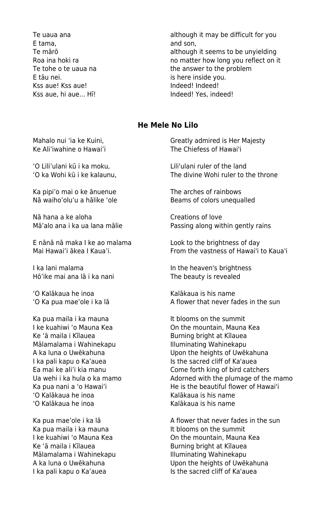E tama, the contraction of the contraction of the contraction of the contraction of the contraction of the contraction of the contraction of the contraction of the contraction of the contraction of the contraction of the c E tāu nei. **is here inside you.** Kss aue! Kss aue! Indeed! Indeed! Kss aue, hi aue... Hī! Indeed! Yes, indeed!

Te uaua ana **although it may be difficult for you** Te mārō **although it seems to be unyielding** Roa ina hoki ra<br>
Te tohe o te uaua na matter how long you reflect on it<br>
the answer to the problem the answer to the problem

#### **He Mele No Lilo**

'O Lili'ulani kū i ka moku, Lili'ulani ruler of the land

Ka pipi'o mai o ke ānuenue The arches of rainbows Nā waiho'olu'u a hālike 'ole Beams of colors unequalled

Nā hana a ke aloha Creations of love

E nānā nā maka I ke ao malama Look to the brightness of day

I ka lani malama In the heaven's brightness Hō'ike mai ana lā i ka nani The beauty is revealed

'O Kalākaua he inoa kalākaua is his name

Ka pua maila i ka mauna It blooms on the summit Ke 'ā maila i Kīlauea **Burning bright at Kīlauea** Mālamalama i Wahinekapu **Illuminating Wahinekapu** I ka pali kapu o Ka'auea Is the sacred cliff of Ka'auea<br>In the sacred cliff of Ka'auea<br>Is the same forth king of bird catch 'O Kalākaua he inoa kalākaua is his name 'O Kalākaua he inoa Kalākaua is his name

Ka pua maila i ka mauna It blooms on the summit Mālamalama i Wahinekapu **Illuminating Wahinekapu** I ka pali kapu o Ka'auea

Mahalo nui 'ia ke Kuini, The Creatly admired is Her Majesty Ke Ali'iwahine o Hawai'i The Chiefess of Hawai'i

'O ka Wohi kū i ke kalaunu, The divine Wohi ruler to the throne

Mā'alo ana i ka ua lana mālie Passing along within gently rains

Mai Hawai'i ākea I Kaua'i. From the vastness of Hawai'i to Kaua'i

'O Ka pua mae'ole i ka lā A flower that never fades in the sun

I ke kuahiwi 'o Mauna Kea **On the mountain, Mauna Kea** A ka luna o Uwēkahuna Upon the heights of Uwēkahuna Come forth king of bird catchers Ua wehi i ka hula o ka mamo **Adorned with the plumage of the mamo** Ka pua nani a 'o Hawai'i **He is the beautiful flower of Hawai'i** 

Ka pua mae'ole i ka lā  $\blacksquare$  A flower that never fades in the sun I ke kuahiwi 'o Mauna Kea **On the mountain, Mauna Kea On the mountain**, Mauna Kea<br>Ke 'ā maila i Kīlauea On David Burning bright at Kīlauea Burning bright at Kīlauea A ka luna o Uwēkahuna<br>
Lka pali kapu o Ka'auea<br>
Us the sacred cliff of Ka'auea